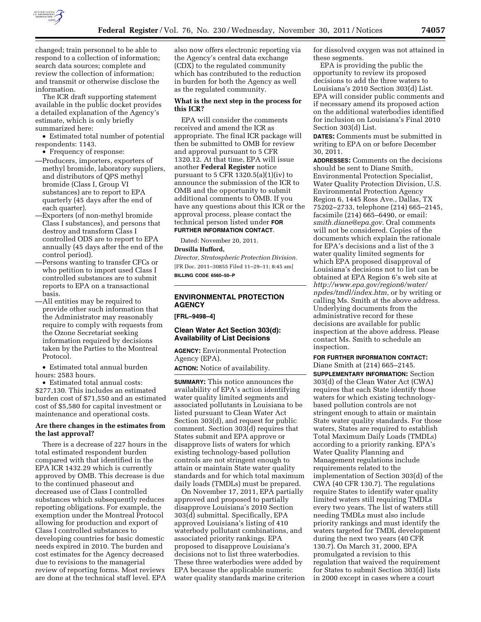

changed; train personnel to be able to respond to a collection of information; search data sources; complete and review the collection of information; and transmit or otherwise disclose the information.

The ICR draft supporting statement available in the public docket provides a detailed explanation of the Agency's estimate, which is only briefly summarized here:

• Estimated total number of potential respondents: 1143.

• Frequency of response:

- —Producers, importers, exporters of methyl bromide, laboratory suppliers, and distributors of QPS methyl bromide (Class I, Group VI substances) are to report to EPA quarterly (45 days after the end of each quarter).
- —Exporters (of non-methyl bromide Class I substances), and persons that destroy and transform Class I controlled ODS are to report to EPA annually (45 days after the end of the control period).
- —Persons wanting to transfer CFCs or who petition to import used Class I controlled substances are to submit reports to EPA on a transactional basis.
- —All entities may be required to provide other such information that the Administrator may reasonably require to comply with requests from the Ozone Secretariat seeking information required by decisions taken by the Parties to the Montreal Protocol.

• Estimated total annual burden hours: 2583 hours.

• Estimated total annual costs: \$277,130. This includes an estimated burden cost of \$71,550 and an estimated cost of \$5,580 for capital investment or maintenance and operational costs.

#### **Are there changes in the estimates from the last approval?**

There is a decrease of 227 hours in the total estimated respondent burden compared with that identified in the EPA ICR 1432.29 which is currently approved by OMB. This decrease is due to the continued phaseout and decreased use of Class I controlled substances which subsequently reduces reporting obligations. For example, the exemption under the Montreal Protocol allowing for production and export of Class I controlled substances to developing countries for basic domestic needs expired in 2010. The burden and cost estimates for the Agency decreased due to revisions to the managerial review of reporting forms. Most reviews are done at the technical staff level. EPA

also now offers electronic reporting via the Agency's central data exchange (CDX) to the regulated community which has contributed to the reduction in burden for both the Agency as well as the regulated community.

#### **What is the next step in the process for this ICR?**

EPA will consider the comments received and amend the ICR as appropriate. The final ICR package will then be submitted to OMB for review and approval pursuant to 5 CFR 1320.12. At that time, EPA will issue another **Federal Register** notice pursuant to 5 CFR 1320.5(a) $(1)(iv)$  to announce the submission of the ICR to OMB and the opportunity to submit additional comments to OMB. If you have any questions about this ICR or the approval process, please contact the technical person listed under **FOR FURTHER INFORMATION CONTACT**.

Dated: November 20, 2011.

#### **Drusilla Hufford,**

*Director, Stratospheric Protection Division.*  [FR Doc. 2011–30855 Filed 11–29–11; 8:45 am] **BILLING CODE 6560–50–P** 

# **ENVIRONMENTAL PROTECTION AGENCY**

**[FRL–9498–4]** 

### **Clean Water Act Section 303(d): Availability of List Decisions**

**AGENCY:** Environmental Protection Agency (EPA).

**ACTION:** Notice of availability.

**SUMMARY:** This notice announces the availability of EPA's action identifying water quality limited segments and associated pollutants in Louisiana to be listed pursuant to Clean Water Act Section 303(d), and request for public comment. Section 303(d) requires that States submit and EPA approve or disapprove lists of waters for which existing technology-based pollution controls are not stringent enough to attain or maintain State water quality standards and for which total maximum daily loads (TMDLs) must be prepared.

On November 17, 2011, EPA partially approved and proposed to partially disapprove Louisiana's 2010 Section 303(d) submittal. Specifically, EPA approved Louisiana's listing of 410 waterbody pollutant combinations, and associated priority rankings. EPA proposed to disapprove Louisiana's decisions not to list three waterbodies. These three waterbodies were added by EPA because the applicable numeric water quality standards marine criterion for dissolved oxygen was not attained in these segments.

EPA is providing the public the opportunity to review its proposed decisions to add the three waters to Louisiana's 2010 Section 303(d) List. EPA will consider public comments and if necessary amend its proposed action on the additional waterbodies identified for inclusion on Louisiana's Final 2010 Section 303(d) List.

**DATES:** Comments must be submitted in writing to EPA on or before December 30, 2011.

**ADDRESSES:** Comments on the decisions should be sent to Diane Smith, Environmental Protection Specialist, Water Quality Protection Division, U.S. Environmental Protection Agency Region 6, 1445 Ross Ave., Dallas, TX 75202–2733, telephone (214) 665–2145, facsimile (214) 665–6490, or email: *[smith.diane@epa.gov](mailto:smith.diane@epa.gov)*. Oral comments will not be considered. Copies of the documents which explain the rationale for EPA's decisions and a list of the 3 water quality limited segments for which EPA proposed disapproval of Louisiana's decisions not to list can be obtained at EPA Region 6's web site at *[http://www.epa.gov/region6/water/](http://www.epa.gov/region6/water/npdes/tmdl/index.htm) [npdes/tmdl/index.htm](http://www.epa.gov/region6/water/npdes/tmdl/index.htm)*, or by writing or calling Ms. Smith at the above address. Underlying documents from the administrative record for these decisions are available for public inspection at the above address. Please contact Ms. Smith to schedule an inspection.

**FOR FURTHER INFORMATION CONTACT:**  Diane Smith at (214) 665–2145. **SUPPLEMENTARY INFORMATION:** Section 303(d) of the Clean Water Act (CWA) requires that each State identify those waters for which existing technologybased pollution controls are not stringent enough to attain or maintain State water quality standards. For those waters, States are required to establish Total Maximum Daily Loads (TMDLs) according to a priority ranking. EPA's Water Quality Planning and Management regulations include requirements related to the implementation of Section 303(d) of the CWA (40 CFR 130.7). The regulations require States to identify water quality limited waters still requiring TMDLs every two years. The list of waters still needing TMDLs must also include priority rankings and must identify the waters targeted for TMDL development during the next two years (40 CFR 130.7). On March 31, 2000, EPA promulgated a revision to this regulation that waived the requirement for States to submit Section 303(d) lists in 2000 except in cases where a court